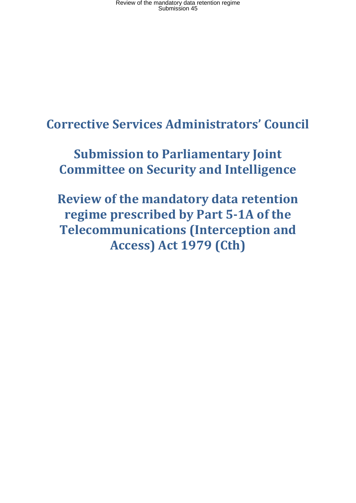Review of the mandatory data retention regime Submission 45

# **Corrective Services Administrators' Council**

# **Submission to Parliamentary Joint Committee on Security and Intelligence**

**Review of the mandatory data retention regime prescribed by Part 5-1A of the Telecommunications (Interception and Access) Act 1979 (Cth)**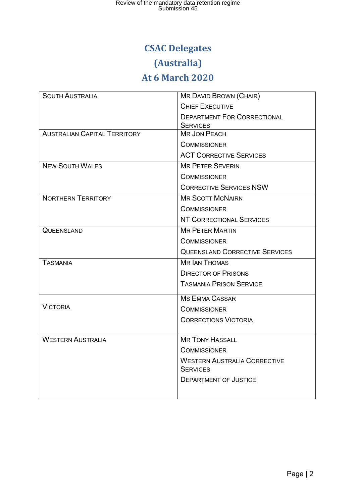## **CSAC Delegates**

## **(Australia)**

## **At 6 March 2020**

| <b>SOUTH AUSTRALIA</b>              | <b>MR DAVID BROWN (CHAIR)</b>                         |  |  |  |  |
|-------------------------------------|-------------------------------------------------------|--|--|--|--|
|                                     | <b>CHIEF EXECUTIVE</b>                                |  |  |  |  |
|                                     | <b>DEPARTMENT FOR CORRECTIONAL</b><br><b>SERVICES</b> |  |  |  |  |
| <b>AUSTRALIAN CAPITAL TERRITORY</b> | <b>MR JON PEACH</b>                                   |  |  |  |  |
|                                     | <b>COMMISSIONER</b>                                   |  |  |  |  |
|                                     | <b>ACT CORRECTIVE SERVICES</b>                        |  |  |  |  |
| <b>NEW SOUTH WALES</b>              | <b>MR PETER SEVERIN</b>                               |  |  |  |  |
|                                     | <b>COMMISSIONER</b>                                   |  |  |  |  |
|                                     | <b>CORRECTIVE SERVICES NSW</b>                        |  |  |  |  |
| <b>NORTHERN TERRITORY</b>           | <b>MR SCOTT MCNAIRN</b>                               |  |  |  |  |
|                                     | <b>COMMISSIONER</b>                                   |  |  |  |  |
|                                     | NT CORRECTIONAL SERVICES                              |  |  |  |  |
| <b>QUEENSLAND</b>                   | <b>MR PETER MARTIN</b>                                |  |  |  |  |
|                                     | <b>COMMISSIONER</b>                                   |  |  |  |  |
|                                     | <b>QUEENSLAND CORRECTIVE SERVICES</b>                 |  |  |  |  |
| <b>TASMANIA</b>                     | <b>MR IAN THOMAS</b>                                  |  |  |  |  |
|                                     | <b>DIRECTOR OF PRISONS</b>                            |  |  |  |  |
|                                     | <b>TASMANIA PRISON SERVICE</b>                        |  |  |  |  |
|                                     | <b>MS EMMA CASSAR</b>                                 |  |  |  |  |
| <b>VICTORIA</b>                     | <b>COMMISSIONER</b>                                   |  |  |  |  |
|                                     | <b>CORRECTIONS VICTORIA</b>                           |  |  |  |  |
| <b>WESTERN AUSTRALIA</b>            | <b>MR TONY HASSALL</b>                                |  |  |  |  |
|                                     | <b>COMMISSIONER</b>                                   |  |  |  |  |
|                                     | <b>WESTERN AUSTRALIA CORRECTIVE</b>                   |  |  |  |  |
|                                     | <b>SERVICES</b>                                       |  |  |  |  |
|                                     | <b>DEPARTMENT OF JUSTICE</b>                          |  |  |  |  |
|                                     |                                                       |  |  |  |  |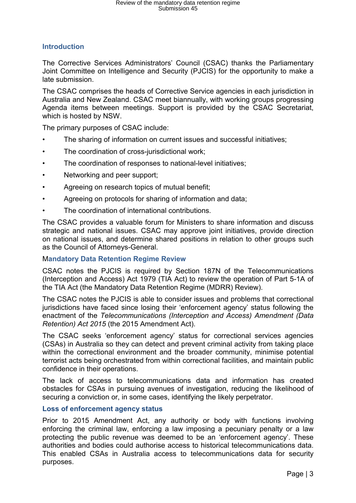## **Introduction**

The Corrective Services Administrators' Council (CSAC) thanks the Parliamentary Joint Committee on Intelligence and Security (PJCIS) for the opportunity to make a late submission.

The CSAC comprises the heads of Corrective Service agencies in each jurisdiction in Australia and New Zealand. CSAC meet biannually, with working groups progressing Agenda items between meetings. Support is provided by the CSAC Secretariat, which is hosted by NSW.

The primary purposes of CSAC include:

- The sharing of information on current issues and successful initiatives;
- The coordination of cross-jurisdictional work;
- The coordination of responses to national-level initiatives;
- Networking and peer support;
- Agreeing on research topics of mutual benefit;
- Agreeing on protocols for sharing of information and data;
- The coordination of international contributions.

The CSAC provides a valuable forum for Ministers to share information and discuss strategic and national issues. CSAC may approve joint initiatives, provide direction on national issues, and determine shared positions in relation to other groups such as the Council of Attorneys-General.

## M**andatory Data Retention Regime Review**

CSAC notes the PJCIS is required by Section 187N of the Telecommunications (Interception and Access) Act 1979 (TIA Act) to review the operation of Part 5-1A of the TIA Act (the Mandatory Data Retention Regime (MDRR) Review).

The CSAC notes the PJCIS is able to consider issues and problems that correctional jurisdictions have faced since losing their 'enforcement agency' status following the enactment of the *Telecommunications (Interception and Access) Amendment (Data Retention) Act 2015* (the 2015 Amendment Act).

The CSAC seeks 'enforcement agency' status for correctional services agencies (CSAs) in Australia so they can detect and prevent criminal activity from taking place within the correctional environment and the broader community, minimise potential terrorist acts being orchestrated from within correctional facilities, and maintain public confidence in their operations.

The lack of access to telecommunications data and information has created obstacles for CSAs in pursuing avenues of investigation, reducing the likelihood of securing a conviction or, in some cases, identifying the likely perpetrator.

## **Loss of enforcement agency status**

Prior to 2015 Amendment Act, any authority or body with functions involving enforcing the criminal law, enforcing a law imposing a pecuniary penalty or a law protecting the public revenue was deemed to be an 'enforcement agency'. These authorities and bodies could authorise access to historical telecommunications data. This enabled CSAs in Australia access to telecommunications data for security purposes.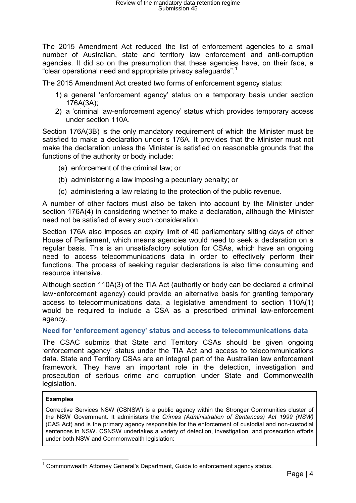The 2015 Amendment Act reduced the list of enforcement agencies to a small number of Australian, state and territory law enforcement and anti-corruption agencies. It did so on the presumption that these agencies have, on their face, a "clear operational need and appropriate privacy safeguards".<sup>[1](#page-3-0)</sup>

The 2015 Amendment Act created two forms of enforcement agency status:

- 1) a general 'enforcement agency' status on a temporary basis under section 176A(3A);
- 2) a 'criminal law-enforcement agency' status which provides temporary access under section 110A.

Section 176A(3B) is the only mandatory requirement of which the Minister must be satisfied to make a declaration under s 176A. It provides that the Minister must not make the declaration unless the Minister is satisfied on reasonable grounds that the functions of the authority or body include:

- (a) enforcement of the criminal law; or
- (b) administering a law imposing a pecuniary penalty; or
- (c) administering a law relating to the protection of the public revenue.

A number of other factors must also be taken into account by the Minister under section 176A(4) in considering whether to make a declaration, although the Minister need not be satisfied of every such consideration.

Section 176A also imposes an expiry limit of 40 parliamentary sitting days of either House of Parliament, which means agencies would need to seek a declaration on a regular basis. This is an unsatisfactory solution for CSAs, which have an ongoing need to access telecommunications data in order to effectively perform their functions. The process of seeking regular declarations is also time consuming and resource intensive.

Although section 110A(3) of the TIA Act (authority or body can be declared a criminal law-enforcement agency) could provide an alternative basis for granting temporary access to telecommunications data, a legislative amendment to section 110A(1) would be required to include a CSA as a prescribed criminal law-enforcement agency.

### **Need for 'enforcement agency' status and access to telecommunications data**

The CSAC submits that State and Territory CSAs should be given ongoing 'enforcement agency' status under the TIA Act and access to telecommunications data. State and Territory CSAs are an integral part of the Australian law enforcement framework. They have an important role in the detection, investigation and prosecution of serious crime and corruption under State and Commonwealth legislation.

#### **Examples**

Corrective Services NSW (CSNSW) is a public agency within the Stronger Communities cluster of the NSW Government. It administers the *Crimes (Administration of Sentences) Act 1999 (NSW)* (CAS Act) and is the primary agency responsible for the enforcement of custodial and non-custodial sentences in NSW. CSNSW undertakes a variety of detection, investigation, and prosecution efforts under both NSW and Commonwealth legislation:

<span id="page-3-0"></span> $<sup>1</sup>$  Commonwealth Attorney General's Department. Guide to enforcement agency status.</sup>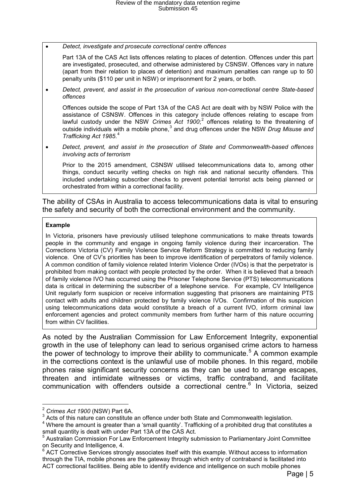• *Detect, investigate and prosecute correctional centre offences*

Part 13A of the CAS Act lists offences relating to places of detention. Offences under this part are investigated, prosecuted, and otherwise administered by CSNSW. Offences vary in nature (apart from their relation to places of detention) and maximum penalties can range up to 50 penalty units (\$110 per unit in NSW) or imprisonment for 2 years, or both.

• *Detect, prevent, and assist in the prosecution of various non-correctional centre State-based offences*

Offences outside the scope of Part 13A of the CAS Act are dealt with by NSW Police with the assistance of CSNSW. Offences in this category include offences relating to escape from lawful custody under the NSW *Crimes Act 1900*;<sup>[2](#page-4-0)</sup> offences relating to the threatening of outside individuals with a mobile phone,<sup>[3](#page-4-1)</sup> and drug offences under the NSW *Drug Misuse and Trafficking Act 1985*. [4](#page-4-2)

• *Detect, prevent, and assist in the prosecution of State and Commonwealth-based offences involving acts of terrorism*

Prior to the 2015 amendment, CSNSW utilised telecommunications data to, among other things, conduct security vetting checks on high risk and national security offenders. This included undertaking subscriber checks to prevent potential terrorist acts being planned or orchestrated from within a correctional facility.

The ability of CSAs in Australia to access telecommunications data is vital to ensuring the safety and security of both the correctional environment and the community.

#### **Example**

In Victoria, prisoners have previously utilised telephone communications to make threats towards people in the community and engage in ongoing family violence during their incarceration. The Corrections Victoria (CV) Family Violence Service Reform Strategy is committed to reducing family violence. One of CV's priorities has been to improve identification of perpetrators of family violence. A common condition of family violence related Interim Violence Order (IVOs) is that the perpetrator is prohibited from making contact with people protected by the order. When it is believed that a breach of family violence IVO has occurred using the Prisoner Telephone Service (PTS) telecommunications data is critical in determining the subscriber of a telephone service. For example, CV Intelligence Unit regularly form suspicion or receive information suggesting that prisoners are maintaining PTS contact with adults and children protected by family violence IVOs. Confirmation of this suspicion using telecommunications data would constitute a breach of a current IVO, inform criminal law enforcement agencies and protect community members from further harm of this nature occurring from within CV facilities.

As noted by the Australian Commission for Law Enforcement Integrity, exponential growth in the use of telephony can lead to serious organised crime actors to harness the power of technology to improve their ability to communicate.<sup>[5](#page-4-3)</sup> A common example in the corrections context is the unlawful use of mobile phones. In this regard, mobile phones raise significant security concerns as they can be used to arrange escapes, threaten and intimidate witnesses or victims, traffic contraband, and facilitate communication with offenders outside a correctional centre.<sup>[6](#page-4-4)</sup> In Victoria, seized

<span id="page-4-0"></span><sup>&</sup>lt;sup>2</sup> Crimes Act 1900 (NSW) Part 6A.<br><sup>3</sup> Acts of this nature can constitute an offence under both State and Commonwealth legislation.

<span id="page-4-2"></span><span id="page-4-1"></span><sup>&</sup>lt;sup>4</sup> Where the amount is greater than a 'small quantity'. Trafficking of a prohibited drug that constitutes a small quantity is dealt with under Part 13A of the CAS Act.

<span id="page-4-3"></span><sup>5</sup> Australian Commission For Law Enforcement Integrity submission to Parliamentary Joint Committee on Security and Intelligence, 4.

<span id="page-4-4"></span> $6$  ACT Corrective Services strongly associates itself with this example. Without access to information through the TIA, mobile phones are the gateway through which entry of contraband is facilitated into ACT correctional facilities. Being able to identify evidence and intelligence on such mobile phones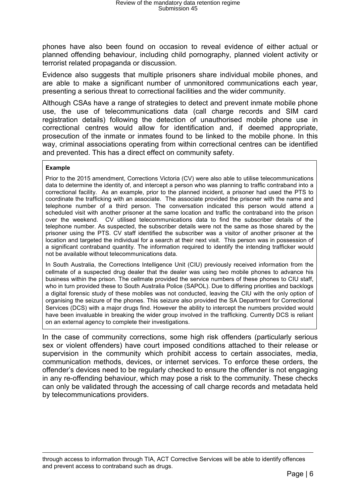phones have also been found on occasion to reveal evidence of either actual or planned offending behaviour, including child pornography, planned violent activity or terrorist related propaganda or discussion.

Evidence also suggests that multiple prisoners share individual mobile phones, and are able to make a significant number of unmonitored communications each year, presenting a serious threat to correctional facilities and the wider community.

Although CSAs have a range of strategies to detect and prevent inmate mobile phone use, the use of telecommunications data (call charge records and SIM card registration details) following the detection of unauthorised mobile phone use in correctional centres would allow for identification and, if deemed appropriate, prosecution of the inmate or inmates found to be linked to the mobile phone. In this way, criminal associations operating from within correctional centres can be identified and prevented. This has a direct effect on community safety.

#### **Example**

Prior to the 2015 amendment, Corrections Victoria (CV) were also able to utilise telecommunications data to determine the identity of, and intercept a person who was planning to traffic contraband into a correctional facility. As an example, prior to the planned incident, a prisoner had used the PTS to coordinate the trafficking with an associate. The associate provided the prisoner with the name and telephone number of a third person. The conversation indicated this person would attend a scheduled visit with another prisoner at the same location and traffic the contraband into the prison over the weekend. CV utilised telecommunications data to find the subscriber details of the telephone number. As suspected, the subscriber details were not the same as those shared by the prisoner using the PTS. CV staff identified the subscriber was a visitor of another prisoner at the location and targeted the individual for a search at their next visit. This person was in possession of a significant contraband quantity. The information required to identify the intending trafficker would not be available without telecommunications data.

In South Australia, the Corrections Intelligence Unit (CIU) previously received information from the cellmate of a suspected drug dealer that the dealer was using two mobile phones to advance his business within the prison. The cellmate provided the service numbers of these phones to CIU staff, who in turn provided these to South Australia Police (SAPOL). Due to differing priorities and backlogs a digital forensic study of these mobiles was not conducted, leaving the CIU with the only option of organising the seizure of the phones. This seizure also provided the SA Department for Correctional Services (DCS) with a major drugs find. However the ability to intercept the numbers provided would have been invaluable in breaking the wider group involved in the trafficking. Currently DCS is reliant on an external agency to complete their investigations.

In the case of community corrections, some high risk offenders (particularly serious sex or violent offenders) have court imposed conditions attached to their release or supervision in the community which prohibit access to certain associates, media, communication methods, devices, or internet services. To enforce these orders, the offender's devices need to be regularly checked to ensure the offender is not engaging in any re-offending behaviour, which may pose a risk to the community. These checks can only be validated through the accessing of call charge records and metadata held by telecommunications providers.

through access to information through TIA, ACT Corrective Services will be able to identify offences and prevent access to contraband such as drugs.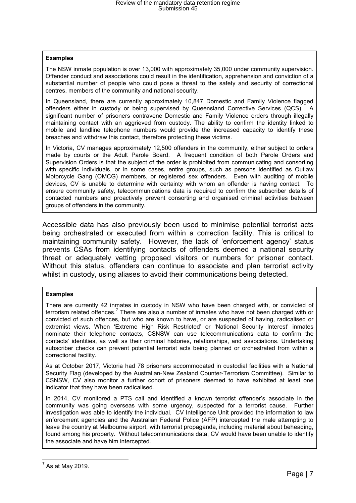#### **Examples**

The NSW inmate population is over 13,000 with approximately 35,000 under community supervision. Offender conduct and associations could result in the identification, apprehension and conviction of a substantial number of people who could pose a threat to the safety and security of correctional centres, members of the community and national security.

In Queensland, there are currently approximately 10,847 Domestic and Family Violence flagged offenders either in custody or being supervised by Queensland Corrective Services (QCS). A significant number of prisoners contravene Domestic and Family Violence orders through illegally maintaining contact with an aggrieved from custody. The ability to confirm the identity linked to mobile and landline telephone numbers would provide the increased capacity to identify these breaches and withdraw this contact, therefore protecting these victims.

In Victoria, CV manages approximately 12,500 offenders in the community, either subject to orders made by courts or the Adult Parole Board. A frequent condition of both Parole Orders and Supervision Orders is that the subject of the order is prohibited from communicating and consorting with specific individuals, or in some cases, entire groups, such as persons identified as Outlaw Motorcycle Gang (OMCG) members, or registered sex offenders. Even with auditing of mobile devices, CV is unable to determine with certainty with whom an offender is having contact. To ensure community safety, telecommunications data is required to confirm the subscriber details of contacted numbers and proactively prevent consorting and organised criminal activities between groups of offenders in the community.

Accessible data has also previously been used to minimise potential terrorist acts being orchestrated or executed from within a correction facility. This is critical to maintaining community safety. However, the lack of 'enforcement agency' status prevents CSAs from identifying contacts of offenders deemed a national security threat or adequately vetting proposed visitors or numbers for prisoner contact. Without this status, offenders can continue to associate and plan terrorist activity whilst in custody, using aliases to avoid their communications being detected.

#### **Examples**

There are currently 42 inmates in custody in NSW who have been charged with, or convicted of terrorism related offences.<sup>[7](#page-6-0)</sup> There are also a number of inmates who have not been charged with or convicted of such offences, but who are known to have, or are suspected of having, radicalised or extremist views. When 'Extreme High Risk Restricted' or 'National Security Interest' inmates nominate their telephone contacts, CSNSW can use telecommunications data to confirm the contacts' identities, as well as their criminal histories, relationships, and associations. Undertaking subscriber checks can prevent potential terrorist acts being planned or orchestrated from within a correctional facility.

As at October 2017, Victoria had 78 prisoners accommodated in custodial facilities with a National Security Flag (developed by the Australian-New Zealand Counter-Terrorism Committee). Similar to CSNSW, CV also monitor a further cohort of prisoners deemed to have exhibited at least one indicator that they have been radicalised.

In 2014, CV monitored a PTS call and identified a known terrorist offender's associate in the community was going overseas with some urgency, suspected for a terrorist cause. Further investigation was able to identify the individual. CV Intelligence Unit provided the information to law enforcement agencies and the Australian Federal Police (AFP) intercepted the male attempting to leave the country at Melbourne airport, with terrorist propaganda, including material about beheading, found among his property. Without telecommunications data, CV would have been unable to identify the associate and have him intercepted.

<span id="page-6-0"></span> $<sup>7</sup>$  As at May 2019.</sup>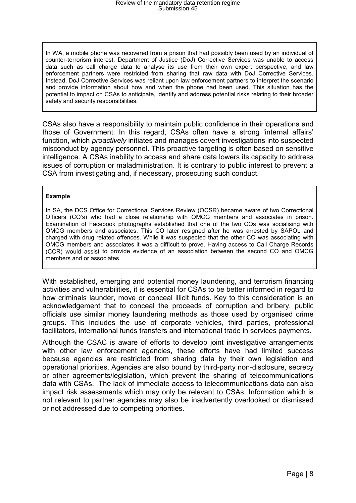In WA, a mobile phone was recovered from a prison that had possibly been used by an individual of counter-terrorism interest. Department of Justice (DoJ) Corrective Services was unable to access data such as call charge data to analyse its use from their own expert perspective, and law enforcement partners were restricted from sharing that raw data with DoJ Corrective Services. Instead, DoJ Corrective Services was reliant upon law enforcement partners to interpret the scenario and provide information about how and when the phone had been used. This situation has the potential to impact on CSAs to anticipate, identify and address potential risks relating to their broader safety and security responsibilities.

CSAs also have a responsibility to maintain public confidence in their operations and those of Government. In this regard, CSAs often have a strong 'internal affairs' function, which *proactively* initiates and manages covert investigations into suspected misconduct by agency personnel. This proactive targeting is often based on sensitive intelligence. A CSAs inability to access and share data lowers its capacity to address issues of corruption or maladministration. It is contrary to public interest to prevent a CSA from investigating and, if necessary, prosecuting such conduct.

#### **Example**

In SA, the DCS Office for Correctional Services Review (OCSR) became aware of two Correctional Officers (CO's) who had a close relationship with OMCG members and associates in prison. Examination of Facebook photographs established that one of the two COs was socialising with OMCG members and associates. This CO later resigned after he was arrested by SAPOL and charged with drug related offences. While it was suspected that the other CO was associating with OMCG members and associates it was a difficult to prove. Having access to Call Charge Records (CCR) would assist to provide evidence of an association between the second CO and OMCG members and or associates.

With established, emerging and potential money laundering, and terrorism financing activities and vulnerabilities, it is essential for CSAs to be better informed in regard to how criminals launder, move or conceal illicit funds. Key to this consideration is an acknowledgement that to conceal the proceeds of corruption and bribery, public officials use similar money laundering methods as those used by organised crime groups. This includes the use of corporate vehicles, third parties, professional facilitators, international funds transfers and international trade in services payments.

Although the CSAC is aware of efforts to develop joint investigative arrangements with other law enforcement agencies, these efforts have had limited success because agencies are restricted from sharing data by their own legislation and operational priorities. Agencies are also bound by third-party non-disclosure, secrecy or other agreements/legislation, which prevent the sharing of telecommunications data with CSAs. The lack of immediate access to telecommunications data can also impact risk assessments which may only be relevant to CSAs. Information which is not relevant to partner agencies may also be inadvertently overlooked or dismissed or not addressed due to competing priorities.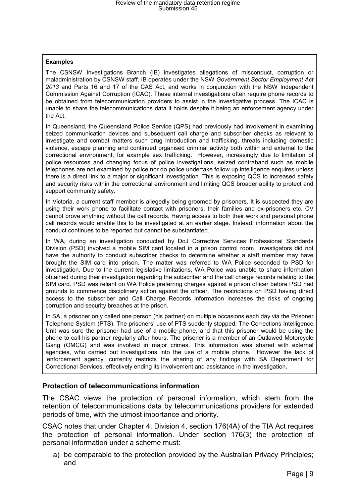#### **Examples**

The CSNSW Investigations Branch (IB) investigates allegations of misconduct, corruption or maladministration by CSNSW staff. IB operates under the NSW *Government Sector Employment Act 2013* and Parts 16 and 17 of the CAS Act, and works in conjunction with the NSW Independent Commission Against Corruption (ICAC). These internal investigations often require phone records to be obtained from telecommunication providers to assist in the investigative process. The ICAC is unable to share the telecommunications data it holds despite it being an enforcement agency under the Act.

In Queensland, the Queensland Police Service (QPS) had previously had involvement in examining seized communication devices and subsequent call charge and subscriber checks as relevant to investigate and combat matters such drug introduction and trafficking, threats including domestic violence, escape planning and continued organised criminal activity both within and external to the correctional environment, for example sex trafficking. However, increasingly due to limitation of police resources and changing focus of police investigations, seized contraband such as mobile telephones are not examined by police nor do police undertake follow up intelligence enquires unless there is a direct link to a major or significant investigation. This is exposing QCS to increased safety and security risks within the correctional environment and limiting QCS broader ability to protect and support community safety.

In Victoria, a current staff member is allegedly being groomed by prisoners. It is suspected they are using their work phone to facilitate contact with prisoners, their families and ex-prisoners etc. CV cannot prove anything without the call records. Having access to both their work and personal phone call records would enable this to be investigated at an earlier stage. Instead, information about the conduct continues to be reported but cannot be substantiated.

In WA, during an investigation conducted by DoJ Corrective Services Professional Standards Division (PSD) involved a mobile SIM card located in a prison control room. Investigators did not have the authority to conduct subscriber checks to determine whether a staff member may have brought the SIM card into prison. The matter was referred to WA Police seconded to PSD for investigation. Due to the current legislative limitations, WA Police was unable to share information obtained during their investigation regarding the subscriber and the call charge records relating to the SIM card. PSD was reliant on WA Police preferring charges against a prison officer before PSD had grounds to commence disciplinary action against the officer. The restrictions on PSD having direct access to the subscriber and Call Charge Records information increases the risks of ongoing corruption and security breaches at the prison.

In SA, a prisoner only called one person (his partner) on multiple occasions each day via the Prisoner Telephone System (PTS). The prisoners' use of PTS suddenly stopped. The Corrections Intelligence Unit was sure the prisoner had use of a mobile phone, and that this prisoner would be using the phone to call his partner regularly after hours. The prisoner is a member of an Outlawed Motorcycle Gang (OMCG) and was involved in major crimes. This information was shared with external agencies, who carried out investigations into the use of a mobile phone. However the lack of 'enforcement agency' currently restricts the sharing of any findings with SA Department for Correctional Services, effectively ending its involvement and assistance in the investigation.

### **Protection of telecommunications information**

The CSAC views the protection of personal information, which stem from the retention of telecommunications data by telecommunications providers for extended periods of time, with the utmost importance and priority.

CSAC notes that under Chapter 4, Division 4, section 176(4A) of the TIA Act requires the protection of personal information. Under section 176(3) the protection of personal information under a scheme must:

a) be comparable to the protection provided by the Australian Privacy Principles; and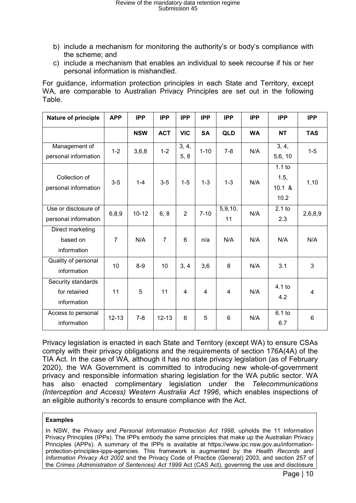- b) include a mechanism for monitoring the authority's or body's compliance with the scheme; and
- c) include a mechanism that enables an individual to seek recourse if his or her personal information is mishandled.

For guidance, information protection principles in each State and Territory, except WA, are comparable to Australian Privacy Principles are set out in the following Table.

| Nature of principle                               | <b>APP</b>     | <b>IPP</b> | <b>IPP</b>     | <b>IPP</b>     | <b>IPP</b>     | <b>IPP</b>     | <b>IPP</b> | <b>IPP</b>                            | <b>IPP</b>     |
|---------------------------------------------------|----------------|------------|----------------|----------------|----------------|----------------|------------|---------------------------------------|----------------|
|                                                   |                | <b>NSW</b> | <b>ACT</b>     | <b>VIC</b>     | <b>SA</b>      | <b>QLD</b>     | <b>WA</b>  | <b>NT</b>                             | <b>TAS</b>     |
| Management of<br>personal information             | $1 - 2$        | 3,6,8      | $1 - 2$        | 3, 4,<br>5, 8  | $1 - 10$       | $7 - 8$        | N/A        | 3, 4,<br>5,6, 10                      | $1 - 5$        |
| Collection of<br>personal information             | $3-5$          | $1 - 4$    | $3-5$          | $1 - 5$        | $1 - 3$        | $1 - 3$        | N/A        | $1.1$ to<br>1.5,<br>$10.1 \&$<br>10.2 | 1,10           |
| Use or disclosure of<br>personal information      | 6,8,9          | $10 - 12$  | 6, 8           | $\overline{2}$ | $7 - 10$       | 5,9,10,<br>11  | N/A        | $2.1$ to<br>2.3                       | 2,6,8,9        |
| Direct marketing<br>based on<br>information       | $\overline{7}$ | N/A        | $\overline{7}$ | 6              | n/a            | N/A            | N/A        | N/A                                   | N/A            |
| Quality of personal<br>information                | 10             | $8-9$      | 10             | 3, 4           | 3,6            | 8              | N/A        | 3.1                                   | 3              |
| Security standards<br>for retained<br>information | 11             | 5          | 11             | 4              | $\overline{4}$ | $\overline{4}$ | N/A        | $4.1$ to<br>4.2                       | $\overline{4}$ |
| Access to personal<br>information                 | $12 - 13$      | $7 - 8$    | $12 - 13$      | 6              | 5              | 6              | N/A        | $6.1$ to<br>6.7                       | $6\phantom{1}$ |

Privacy legislation is enacted in each State and Territory (except WA) to ensure CSAs comply with their privacy obligations and the requirements of section 176A(4A) of the TIA Act. In the case of WA, although it has no state privacy legislation (as of February 2020), the WA Government is committed to introducing new whole-of-government privacy and responsible information sharing legislation for the WA public sector. WA has also enacted complimentary legislation under the *Telecommunications (Interception and Access) Western Australia Act 1996*, which enables inspections of an eligible authority's records to ensure compliance with the Act.

#### **Examples**

In NSW, the *Privacy and Personal Information Protection Act 1998*, upholds the 11 Information Privacy Principles (IPPs). The IPPs embody the same principles that make up the Australian Privacy Principles (APPs). A summary of the IPPs is available at [https://www.ipc.nsw.gov.au/information](https://www.ipc.nsw.gov.au/information-protection-principles-ipps-agencies)[protection-principles-ipps-agencies.](https://www.ipc.nsw.gov.au/information-protection-principles-ipps-agencies) This framework is augmented by the *Health Records and Information Privacy Act 2002* and the Privacy Code of Practice (General) 2003, and section 257 of the *Crimes (Administration of Sentences) Act 1999* Act (CAS Act), governing the use and disclosure